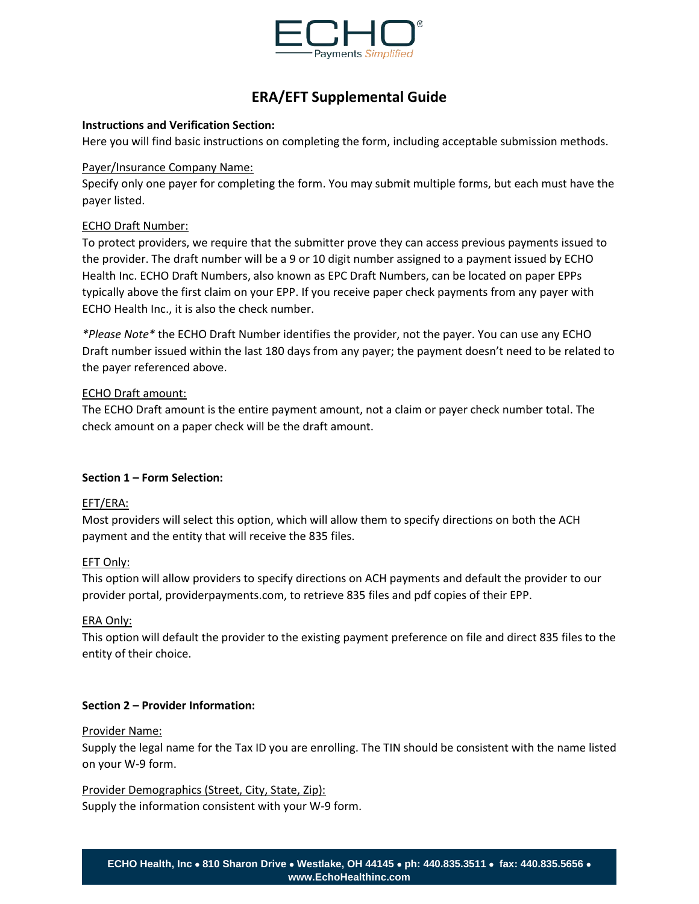

# **ERA/EFT Supplemental Guide**

## **Instructions and Verification Section:**

Here you will find basic instructions on completing the form, including acceptable submission methods.

# Payer/Insurance Company Name:

Specify only one payer for completing the form. You may submit multiple forms, but each must have the payer listed.

# ECHO Draft Number:

To protect providers, we require that the submitter prove they can access previous payments issued to the provider. The draft number will be a 9 or 10 digit number assigned to a payment issued by ECHO Health Inc. ECHO Draft Numbers, also known as EPC Draft Numbers, can be located on paper EPPs typically above the first claim on your EPP. If you receive paper check payments from any payer with ECHO Health Inc., it is also the check number.

*\*Please Note\** the ECHO Draft Number identifies the provider, not the payer. You can use any ECHO Draft number issued within the last 180 days from any payer; the payment doesn't need to be related to the payer referenced above.

# ECHO Draft amount:

The ECHO Draft amount is the entire payment amount, not a claim or payer check number total. The check amount on a paper check will be the draft amount.

# **Section 1 – Form Selection:**

## EFT/ERA:

Most providers will select this option, which will allow them to specify directions on both the ACH payment and the entity that will receive the 835 files.

## EFT Only:

This option will allow providers to specify directions on ACH payments and default the provider to our provider portal, providerpayments.com, to retrieve 835 files and pdf copies of their EPP.

## ERA Only:

This option will default the provider to the existing payment preference on file and direct 835 files to the entity of their choice.

## **Section 2 – Provider Information:**

## Provider Name:

Supply the legal name for the Tax ID you are enrolling. The TIN should be consistent with the name listed on your W-9 form.

## Provider Demographics (Street, City, State, Zip):

Supply the information consistent with your W-9 form.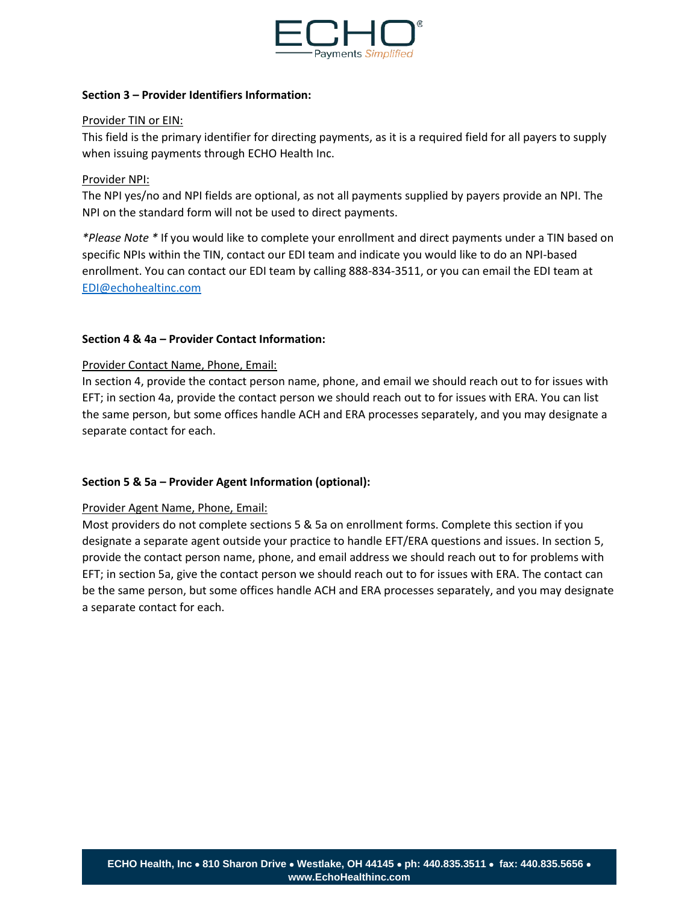

## **Section 3 – Provider Identifiers Information:**

#### Provider TIN or EIN:

This field is the primary identifier for directing payments, as it is a required field for all payers to supply when issuing payments through ECHO Health Inc.

#### Provider NPI:

The NPI yes/no and NPI fields are optional, as not all payments supplied by payers provide an NPI. The NPI on the standard form will not be used to direct payments.

*\*Please Note \** If you would like to complete your enrollment and direct payments under a TIN based on specific NPIs within the TIN, contact our EDI team and indicate you would like to do an NPI-based enrollment. You can contact our EDI team by calling 888-834-3511, or you can email the EDI team at [EDI@echohealtinc.com](mailto:EDI@echohealtinc.com)

#### **Section 4 & 4a – Provider Contact Information:**

#### Provider Contact Name, Phone, Email:

In section 4, provide the contact person name, phone, and email we should reach out to for issues with EFT; in section 4a, provide the contact person we should reach out to for issues with ERA. You can list the same person, but some offices handle ACH and ERA processes separately, and you may designate a separate contact for each.

## **Section 5 & 5a – Provider Agent Information (optional):**

## Provider Agent Name, Phone, Email:

Most providers do not complete sections 5 & 5a on enrollment forms. Complete this section if you designate a separate agent outside your practice to handle EFT/ERA questions and issues. In section 5, provide the contact person name, phone, and email address we should reach out to for problems with EFT; in section 5a, give the contact person we should reach out to for issues with ERA. The contact can be the same person, but some offices handle ACH and ERA processes separately, and you may designate a separate contact for each.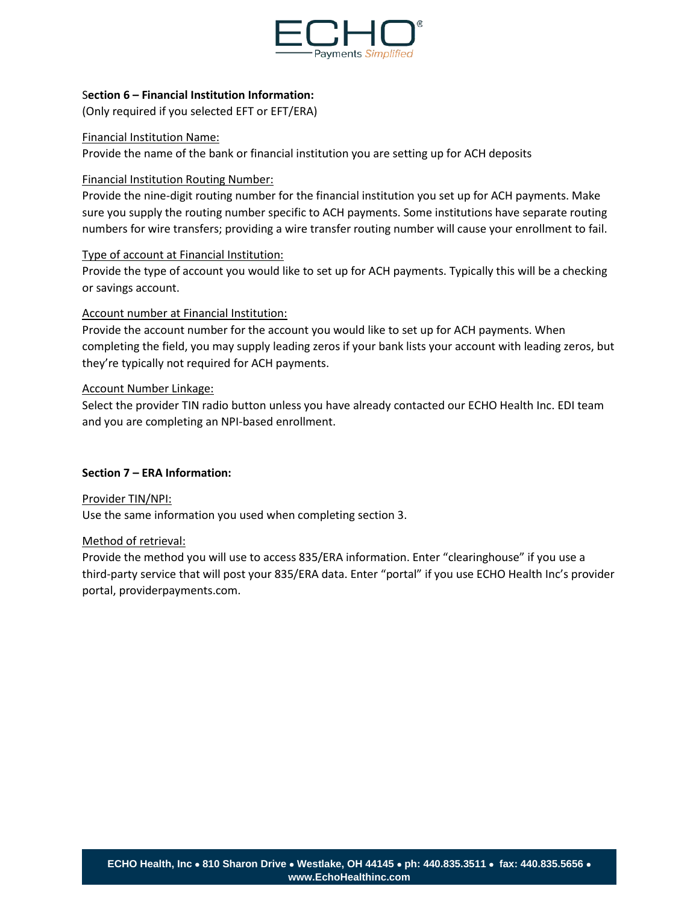

## S**ection 6 – Financial Institution Information:**

(Only required if you selected EFT or EFT/ERA)

#### Financial Institution Name:

Provide the name of the bank or financial institution you are setting up for ACH deposits

## Financial Institution Routing Number:

Provide the nine-digit routing number for the financial institution you set up for ACH payments. Make sure you supply the routing number specific to ACH payments. Some institutions have separate routing numbers for wire transfers; providing a wire transfer routing number will cause your enrollment to fail.

## Type of account at Financial Institution:

Provide the type of account you would like to set up for ACH payments. Typically this will be a checking or savings account.

## Account number at Financial Institution:

Provide the account number for the account you would like to set up for ACH payments. When completing the field, you may supply leading zeros if your bank lists your account with leading zeros, but they're typically not required for ACH payments.

## Account Number Linkage:

Select the provider TIN radio button unless you have already contacted our ECHO Health Inc. EDI team and you are completing an NPI-based enrollment.

## **Section 7 – ERA Information:**

Provider TIN/NPI: Use the same information you used when completing section 3.

#### Method of retrieval:

Provide the method you will use to access 835/ERA information. Enter "clearinghouse" if you use a third-party service that will post your 835/ERA data. Enter "portal" if you use ECHO Health Inc's provider portal, providerpayments.com.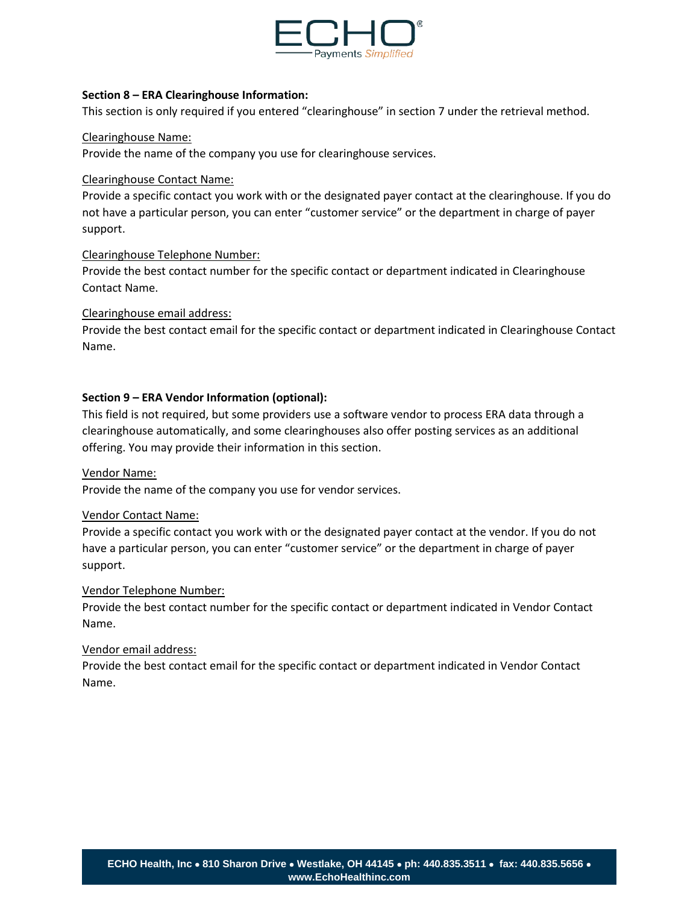

#### **Section 8 – ERA Clearinghouse Information:**

This section is only required if you entered "clearinghouse" in section 7 under the retrieval method.

#### Clearinghouse Name:

Provide the name of the company you use for clearinghouse services.

#### Clearinghouse Contact Name:

Provide a specific contact you work with or the designated payer contact at the clearinghouse. If you do not have a particular person, you can enter "customer service" or the department in charge of payer support.

#### Clearinghouse Telephone Number:

Provide the best contact number for the specific contact or department indicated in Clearinghouse Contact Name.

#### Clearinghouse email address:

Provide the best contact email for the specific contact or department indicated in Clearinghouse Contact Name.

## **Section 9 – ERA Vendor Information (optional):**

This field is not required, but some providers use a software vendor to process ERA data through a clearinghouse automatically, and some clearinghouses also offer posting services as an additional offering. You may provide their information in this section.

#### Vendor Name:

Provide the name of the company you use for vendor services.

#### Vendor Contact Name:

Provide a specific contact you work with or the designated payer contact at the vendor. If you do not have a particular person, you can enter "customer service" or the department in charge of payer support.

#### Vendor Telephone Number:

Provide the best contact number for the specific contact or department indicated in Vendor Contact Name.

#### Vendor email address:

Provide the best contact email for the specific contact or department indicated in Vendor Contact Name.